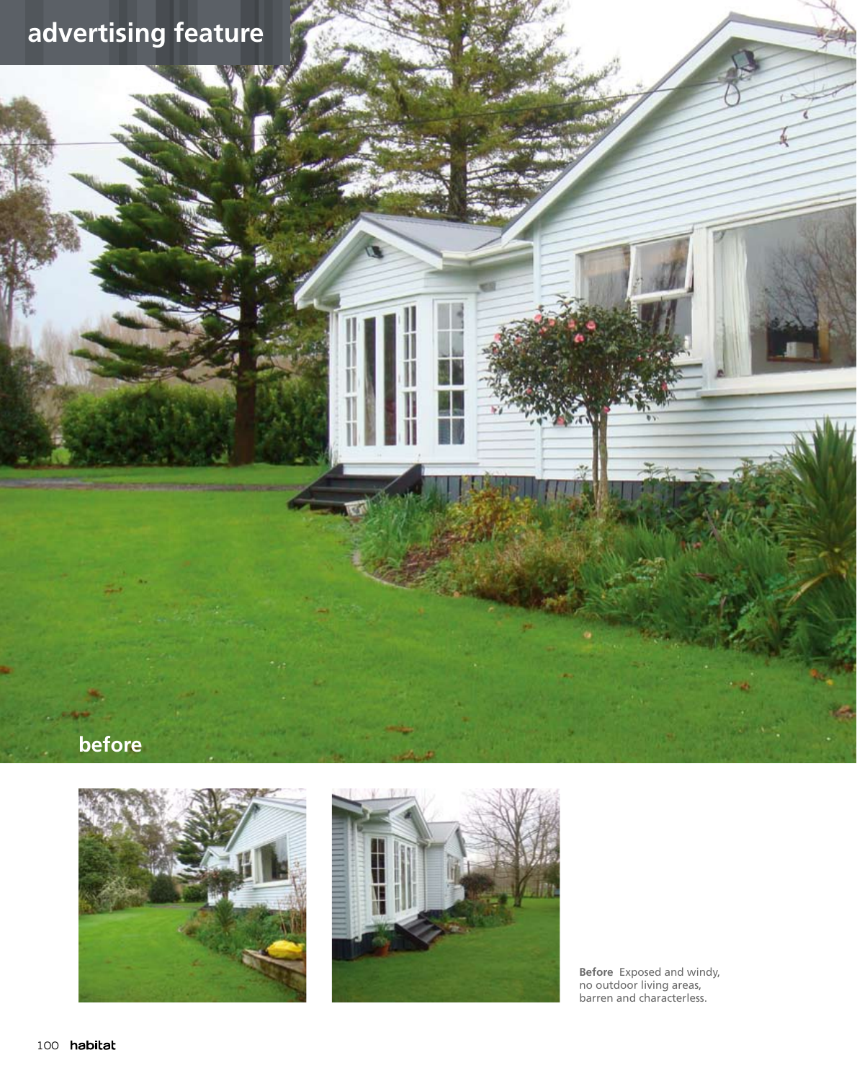# **advertising feature**

#### **before**





**Before** Exposed and windy, no outdoor living areas, barren and characterless.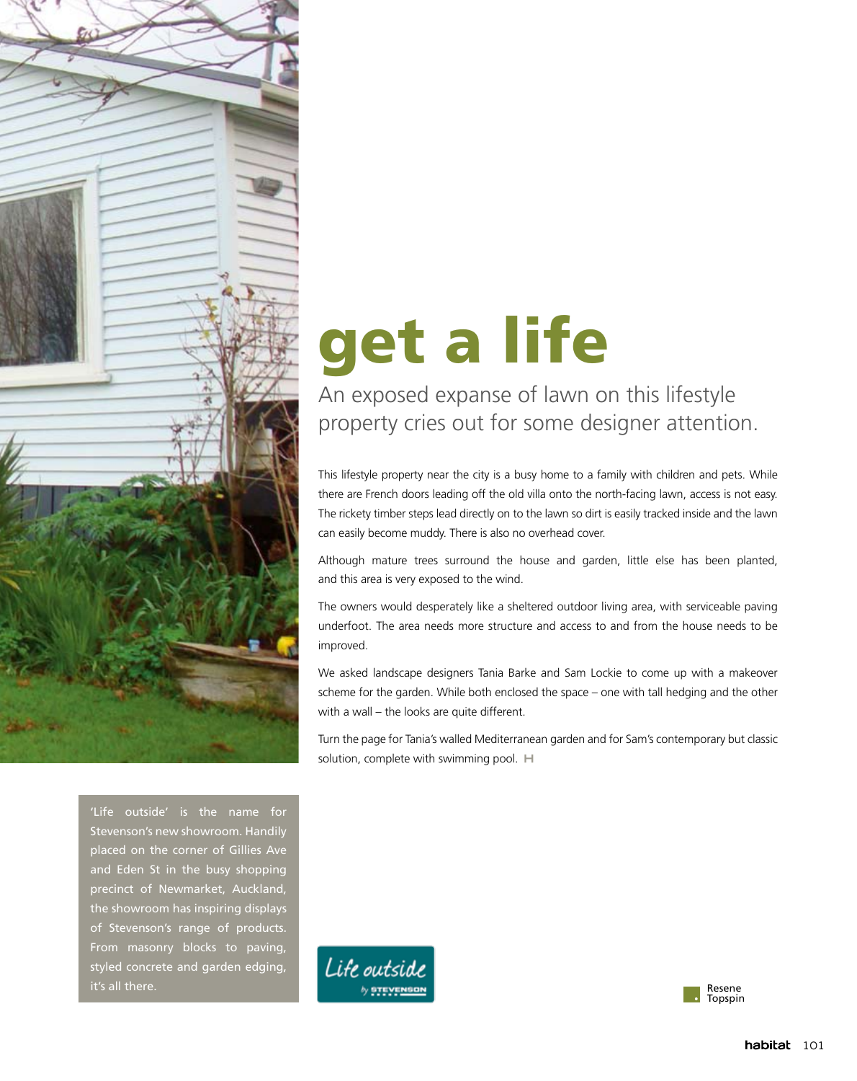

# get a life

An exposed expanse of lawn on this lifestyle property cries out for some designer attention.

This lifestyle property near the city is a busy home to a family with children and pets. While there are French doors leading off the old villa onto the north-facing lawn, access is not easy. The rickety timber steps lead directly on to the lawn so dirt is easily tracked inside and the lawn can easily become muddy. There is also no overhead cover.

Although mature trees surround the house and garden, little else has been planted, and this area is very exposed to the wind.

The owners would desperately like a sheltered outdoor living area, with serviceable paving underfoot. The area needs more structure and access to and from the house needs to be improved.

We asked landscape designers Tania Barke and Sam Lockie to come up with a makeover scheme for the garden. While both enclosed the space – one with tall hedging and the other with a wall – the looks are quite different.

Turn the page for Tania's walled Mediterranean garden and for Sam's contemporary but classic solution, complete with swimming pool. H

'Life outside' is the name for Stevenson's new showroom. Handily placed on the corner of Gillies Ave and Eden St in the busy shopping precinct of Newmarket, Auckland, the showroom has inspiring displays of Stevenson's range of products. From masonry blocks to paving, styled concrete and garden edging, it's all there.



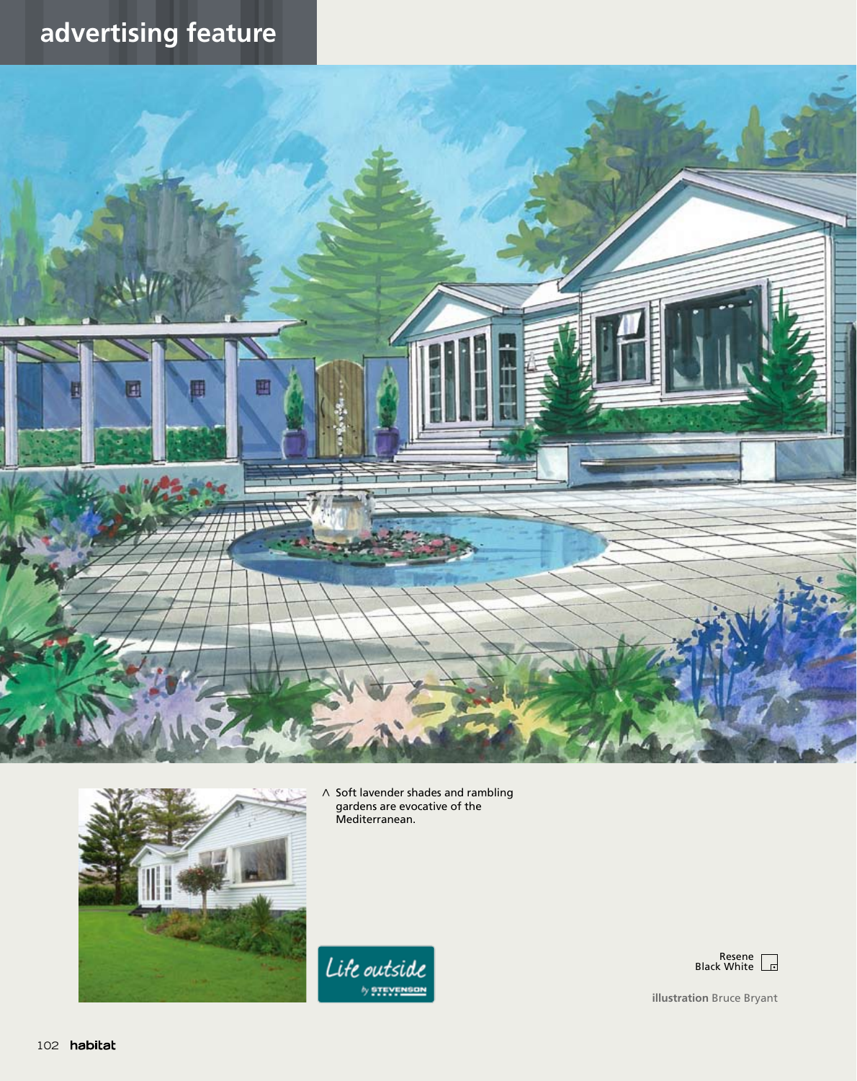## **advertising feature**





< Soft lavender shades and rambling gardens are evocative of the Mediterranean.





**illustration** Bruce Bryant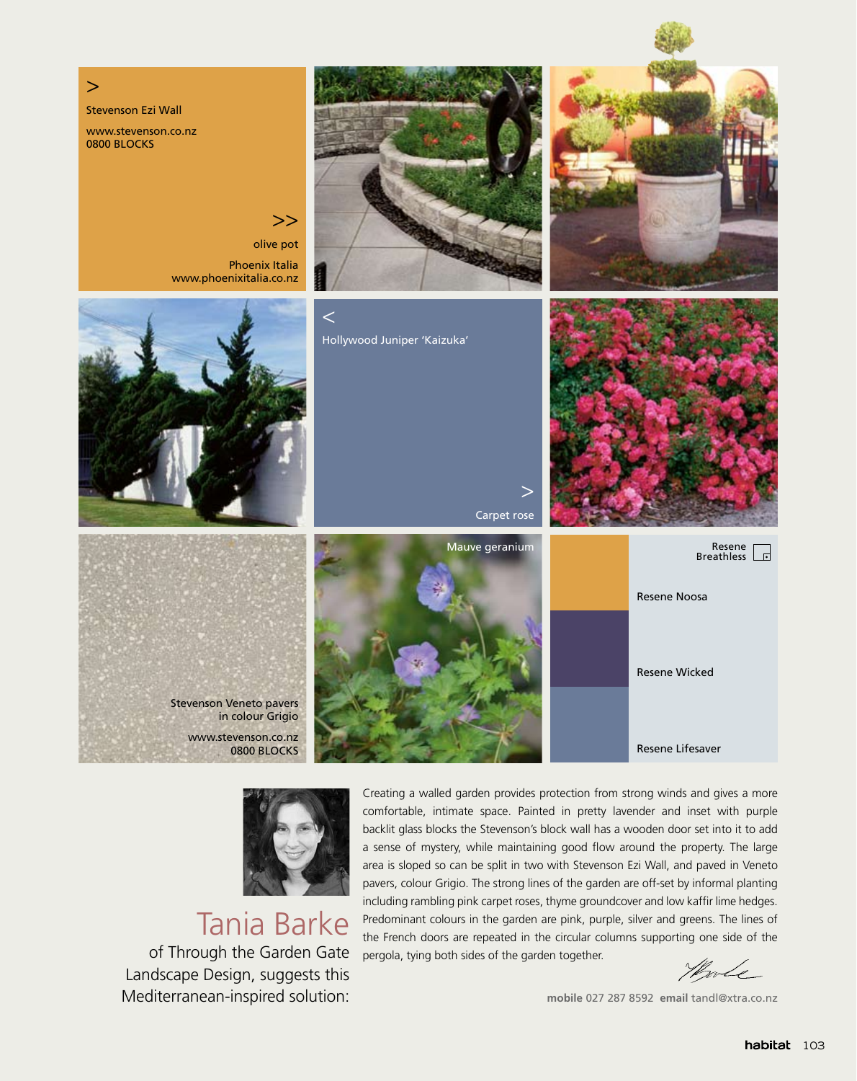



#### Tania Barke

of Through the Garden Gate Landscape Design, suggests this Mediterranean-inspired solution:

Creating a walled garden provides protection from strong winds and gives a more comfortable, intimate space. Painted in pretty lavender and inset with purple backlit glass blocks the Stevenson's block wall has a wooden door set into it to add a sense of mystery, while maintaining good flow around the property. The large area is sloped so can be split in two with Stevenson Ezi Wall, and paved in Veneto pavers, colour Grigio. The strong lines of the garden are off-set by informal planting including rambling pink carpet roses, thyme groundcover and low kaffir lime hedges. Predominant colours in the garden are pink, purple, silver and greens. The lines of the French doors are repeated in the circular columns supporting one side of the pergola, tying both sides of the garden together.

Hole

**mobile** 027 287 8592 **email** tandl@xtra.co.nz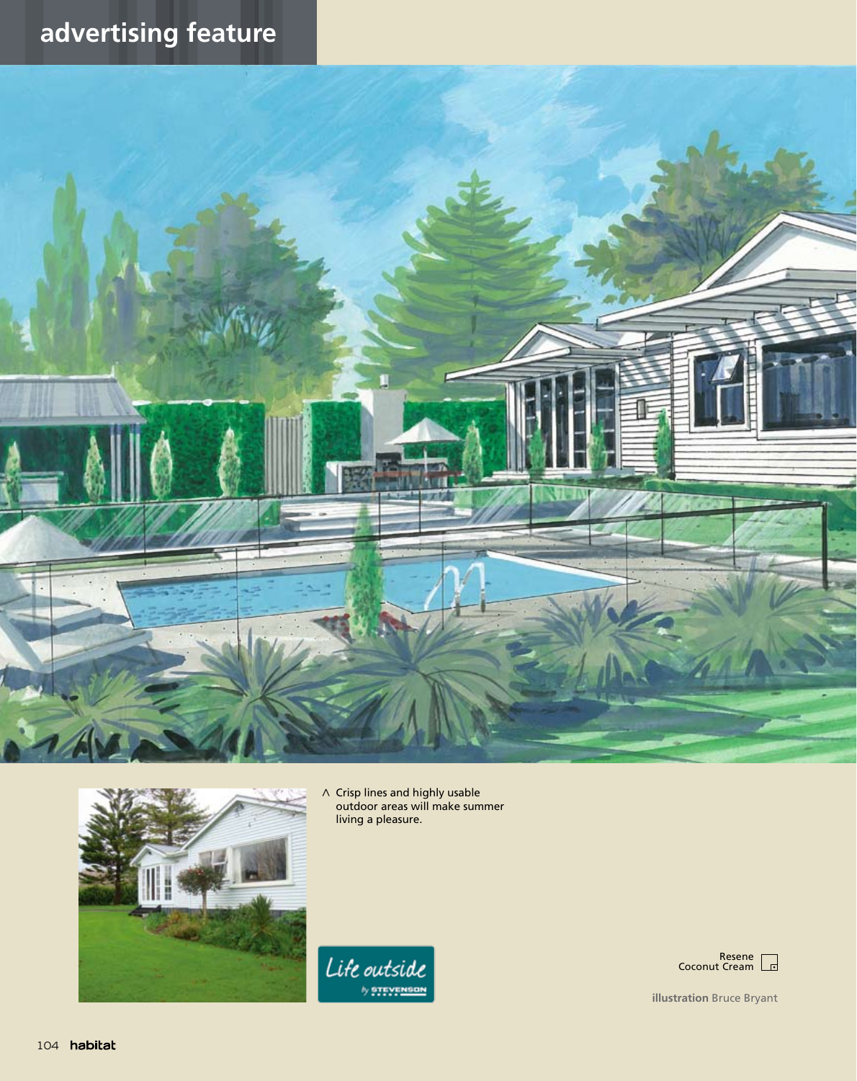## **advertising feature**





< Crisp lines and highly usable outdoor areas will make summer living a pleasure.

Life outside



**illustration** Bruce Bryant